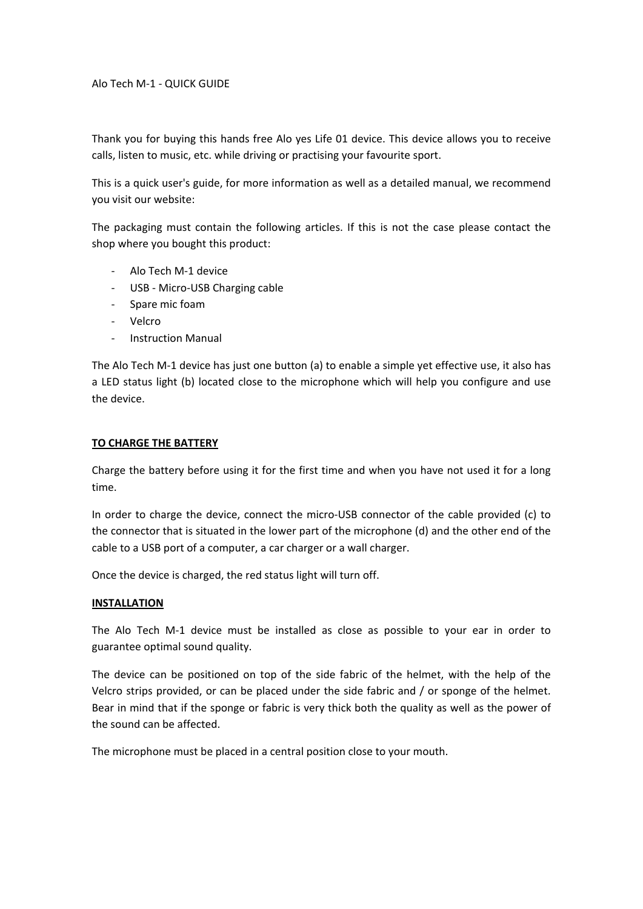## Alo Tech M‐1 ‐ QUICK GUIDE

Thank you for buying this hands free Alo yes Life 01 device. This device allows you to receive calls, listen to music, etc. while driving or practising your favourite sport.

This is a quick user's guide, for more information as well as a detailed manual, we recommend you visit our website:

The packaging must contain the following articles. If this is not the case please contact the shop where you bought this product:

- ‐ Alo Tech M‐1 device
- ‐ USB ‐ Micro‐USB Charging cable
- ‐ Spare mic foam
- ‐ Velcro
- ‐ Instruction Manual

The Alo Tech M‐1 device has just one button (a) to enable a simple yet effective use, it also has a LED status light (b) located close to the microphone which will help you configure and use the device.

## **TO CHARGE THE BATTERY**

Charge the battery before using it for the first time and when you have not used it for a long time.

In order to charge the device, connect the micro‐USB connector of the cable provided (c) to the connector that is situated in the lower part of the microphone (d) and the other end of the cable to a USB port of a computer, a car charger or a wall charger.

Once the device is charged, the red status light will turn off.

## **INSTALLATION**

The Alo Tech M‐1 device must be installed as close as possible to your ear in order to guarantee optimal sound quality.

The device can be positioned on top of the side fabric of the helmet, with the help of the Velcro strips provided, or can be placed under the side fabric and / or sponge of the helmet. Bear in mind that if the sponge or fabric is very thick both the quality as well as the power of the sound can be affected.

The microphone must be placed in a central position close to your mouth.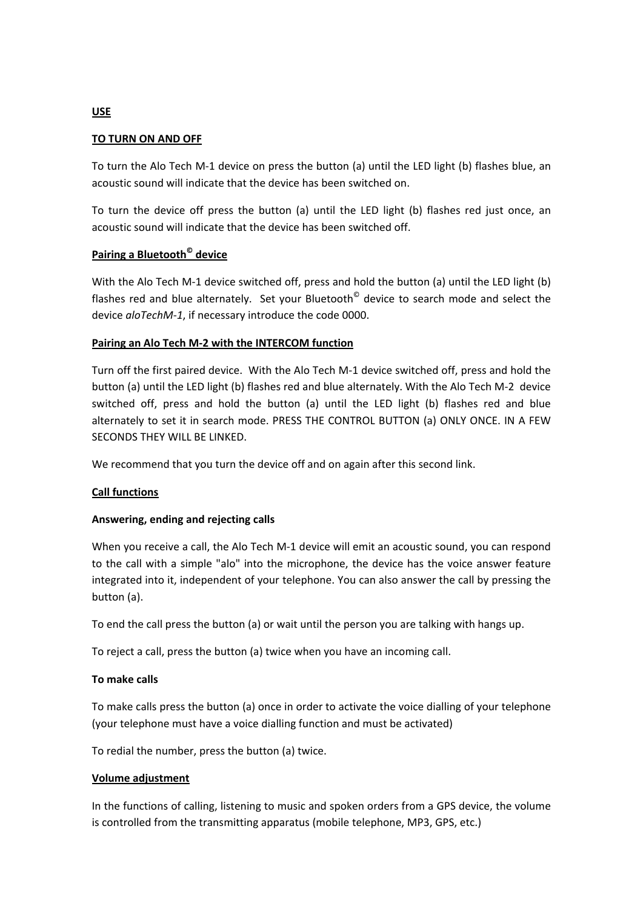# **USE**

## **TO TURN ON AND OFF**

To turn the Alo Tech M‐1 device on press the button (a) until the LED light (b) flashes blue, an acoustic sound will indicate that the device has been switched on.

To turn the device off press the button (a) until the LED light (b) flashes red just once, an acoustic sound will indicate that the device has been switched off.

## **Pairing a Bluetooth© device**

With the Alo Tech M-1 device switched off, press and hold the button (a) until the LED light (b) flashes red and blue alternately. Set your Bluetooth $^{\circ}$  device to search mode and select the device *aloTechM‐1*, if necessary introduce the code 0000.

#### **Pairing an Alo Tech M‐2 with the INTERCOM function**

Turn off the first paired device. With the Alo Tech M‐1 device switched off, press and hold the button (a) until the LED light (b) flashes red and blue alternately. With the Alo Tech M‐2 device switched off, press and hold the button (a) until the LED light (b) flashes red and blue alternately to set it in search mode. PRESS THE CONTROL BUTTON (a) ONLY ONCE. IN A FEW SECONDS THEY WILL BE LINKED.

We recommend that you turn the device off and on again after this second link.

## **Call functions**

## **Answering, ending and rejecting calls**

When you receive a call, the Alo Tech M-1 device will emit an acoustic sound, you can respond to the call with a simple "alo" into the microphone, the device has the voice answer feature integrated into it, independent of your telephone. You can also answer the call by pressing the button (a).

To end the call press the button (a) or wait until the person you are talking with hangs up.

To reject a call, press the button (a) twice when you have an incoming call.

#### **To make calls**

To make calls press the button (a) once in order to activate the voice dialling of your telephone (your telephone must have a voice dialling function and must be activated)

To redial the number, press the button (a) twice.

#### **Volume adjustment**

In the functions of calling, listening to music and spoken orders from a GPS device, the volume is controlled from the transmitting apparatus (mobile telephone, MP3, GPS, etc.)